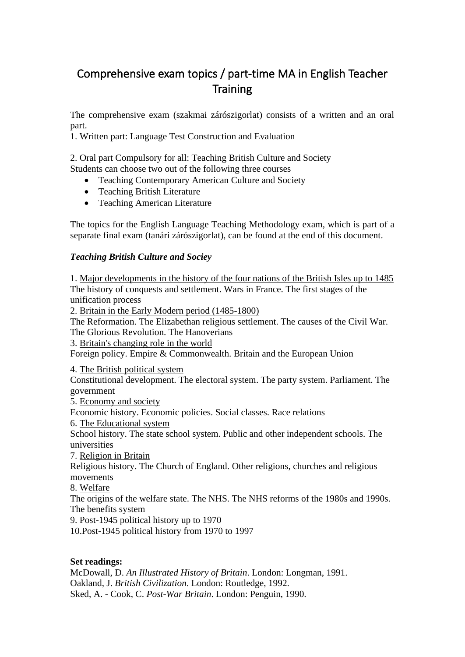# Comprehensive exam topics / part-time MA in English Teacher **Training**

The comprehensive exam (szakmai zárószigorlat) consists of a written and an oral part.

1. Written part: Language Test Construction and Evaluation

2. Oral part Compulsory for all: Teaching British Culture and Society Students can choose two out of the following three courses

- Teaching Contemporary American Culture and Society
- Teaching British Literature
- Teaching American Literature

The topics for the English Language Teaching Methodology exam, which is part of a separate final exam (tanári zárószigorlat), can be found at the end of this document.

# *Teaching British Culture and Sociey*

1. Major developments in the history of the four nations of the British Isles up to 1485 The history of conquests and settlement. Wars in France. The first stages of the unification process

2. Britain in the Early Modern period (1485-1800)

The Reformation. The Elizabethan religious settlement. The causes of the Civil War. The Glorious Revolution. The Hanoverians

3. Britain's changing role in the world

Foreign policy. Empire & Commonwealth. Britain and the European Union

4. The British political system

Constitutional development. The electoral system. The party system. Parliament. The government

5. Economy and society

Economic history. Economic policies. Social classes. Race relations

6. The Educational system

School history. The state school system. Public and other independent schools. The universities

7. Religion in Britain

Religious history. The Church of England. Other religions, churches and religious movements

8. Welfare

The origins of the welfare state. The NHS. The NHS reforms of the 1980s and 1990s. The benefits system

9. Post-1945 political history up to 1970

10.Post-1945 political history from 1970 to 1997

# **Set readings:**

McDowall, D. *An Illustrated History of Britain*. London: Longman, 1991. Oakland, J. *British Civilization*. London: Routledge, 1992. Sked, A. - Cook, C. *Post-War Britain*. London: Penguin, 1990.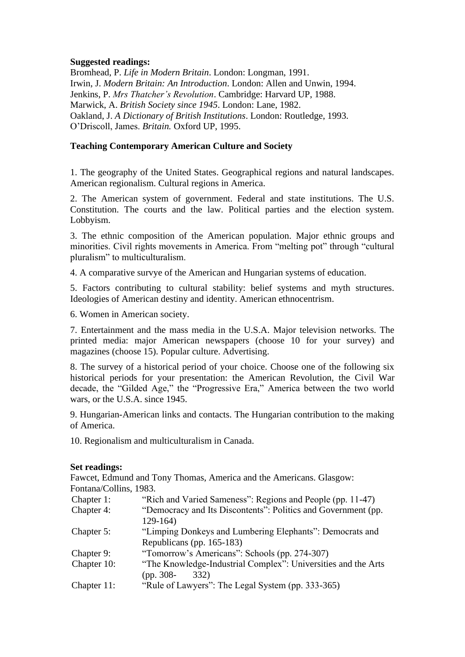# **Suggested readings:**

Bromhead, P. *Life in Modern Britain*. London: Longman, 1991. Irwin, J. *Modern Britain: An Introduction*. London: Allen and Unwin, 1994. Jenkins, P. *Mrs Thatcher's Revolution*. Cambridge: Harvard UP, 1988. Marwick, A. *British Society since 1945*. London: Lane, 1982. Oakland, J. *A Dictionary of British Institutions*. London: Routledge, 1993. O'Driscoll, James. *Britain.* Oxford UP, 1995.

# **Teaching Contemporary American Culture and Society**

1. The geography of the United States. Geographical regions and natural landscapes. American regionalism. Cultural regions in America.

2. The American system of government. Federal and state institutions. The U.S. Constitution. The courts and the law. Political parties and the election system. Lobbyism.

3. The ethnic composition of the American population. Major ethnic groups and minorities. Civil rights movements in America. From "melting pot" through "cultural pluralism" to multiculturalism.

4. A comparative survye of the American and Hungarian systems of education.

5. Factors contributing to cultural stability: belief systems and myth structures. Ideologies of American destiny and identity. American ethnocentrism.

6. Women in American society.

7. Entertainment and the mass media in the U.S.A. Major television networks. The printed media: major American newspapers (choose 10 for your survey) and magazines (choose 15). Popular culture. Advertising.

8. The survey of a historical period of your choice. Choose one of the following six historical periods for your presentation: the American Revolution, the Civil War decade, the "Gilded Age," the "Progressive Era," America between the two world wars, or the U.S.A. since 1945.

9. Hungarian-American links and contacts. The Hungarian contribution to the making of America.

10. Regionalism and multiculturalism in Canada.

#### **Set readings:**

Fawcet, Edmund and Tony Thomas, America and the Americans. Glasgow: Fontana/Collins, 1983.

| Chapter 1:  | "Rich and Varied Sameness": Regions and People (pp. 11-47)    |
|-------------|---------------------------------------------------------------|
| Chapter 4:  | "Democracy and Its Discontents": Politics and Government (pp. |
|             | $129-164$                                                     |
| Chapter 5:  | "Limping Donkeys and Lumbering Elephants": Democrats and      |
|             | Republicans (pp. 165-183)                                     |
| Chapter 9:  | "Tomorrow's Americans": Schools (pp. 274-307)                 |
| Chapter 10: | "The Knowledge-Industrial Complex": Universities and the Arts |
|             | $(pp. 308-$<br>332)                                           |
| Chapter 11: | "Rule of Lawyers": The Legal System (pp. 333-365)             |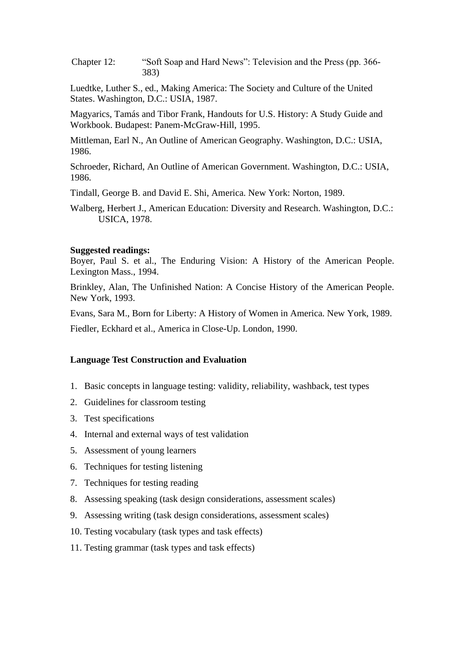Chapter 12: "Soft Soap and Hard News": Television and the Press (pp. 366- 383)

Luedtke, Luther S., ed., Making America: The Society and Culture of the United States. Washington, D.C.: USIA, 1987.

 Magyarics, Tamás and Tibor Frank, Handouts for U.S. History: A Study Guide and Workbook. Budapest: Panem-McGraw-Hill, 1995.

Mittleman, Earl N., An Outline of American Geography. Washington, D.C.: USIA, 1986.

Schroeder, Richard, An Outline of American Government. Washington, D.C.: USIA, 1986.

Tindall, George B. and David E. Shi, America. New York: Norton, 1989.

Walberg, Herbert J., American Education: Diversity and Research. Washington, D.C.: USICA, 1978.

#### **Suggested readings:**

Boyer, Paul S. et al., The Enduring Vision: A History of the American People. Lexington Mass., 1994.

Brinkley, Alan, The Unfinished Nation: A Concise History of the American People. New York, 1993.

Evans, Sara M., Born for Liberty: A History of Women in America. New York, 1989.

Fiedler, Eckhard et al., America in Close-Up. London, 1990.

#### **Language Test Construction and Evaluation**

- 1. Basic concepts in language testing: validity, reliability, washback, test types
- 2. Guidelines for classroom testing
- 3. Test specifications
- 4. Internal and external ways of test validation
- 5. Assessment of young learners
- 6. Techniques for testing listening
- 7. Techniques for testing reading
- 8. Assessing speaking (task design considerations, assessment scales)
- 9. Assessing writing (task design considerations, assessment scales)
- 10. Testing vocabulary (task types and task effects)
- 11. Testing grammar (task types and task effects)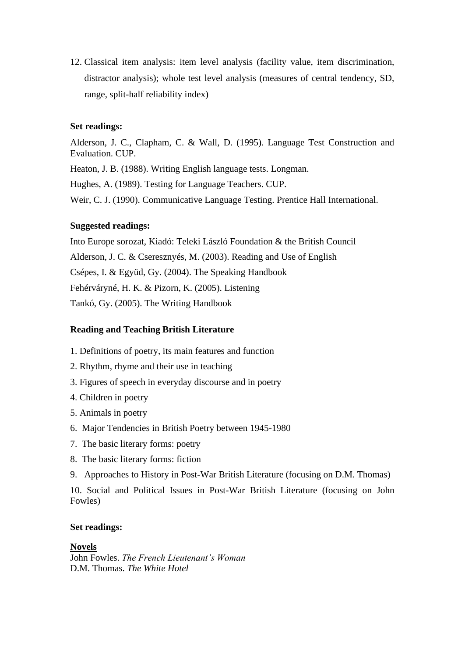12. Classical item analysis: item level analysis (facility value, item discrimination, distractor analysis); whole test level analysis (measures of central tendency, SD, range, split-half reliability index)

#### **Set readings:**

Alderson, J. C., Clapham, C. & Wall, D. (1995). Language Test Construction and Evaluation. CUP.

Heaton, J. B. (1988). Writing English language tests. Longman.

Hughes, A. (1989). Testing for Language Teachers. CUP.

Weir, C. J. (1990). Communicative Language Testing. Prentice Hall International.

#### **Suggested readings:**

Into Europe sorozat, Kiadó: Teleki László Foundation & the British Council Alderson, J. C. & Cseresznyés, M. (2003). Reading and Use of English Csépes, I. & Együd, Gy. (2004). The Speaking Handbook Fehérváryné, H. K. & Pizorn, K. (2005). Listening Tankó, Gy. (2005). The Writing Handbook

# **Reading and Teaching British Literature**

- 1. Definitions of poetry, its main features and function
- 2. Rhythm, rhyme and their use in teaching
- 3. Figures of speech in everyday discourse and in poetry
- 4. Children in poetry
- 5. Animals in poetry
- 6. Major Tendencies in British Poetry between 1945-1980
- 7. The basic literary forms: poetry
- 8. The basic literary forms: fiction
- 9. Approaches to History in Post-War British Literature (focusing on D.M. Thomas)

10. Social and Political Issues in Post-War British Literature (focusing on John Fowles)

#### **Set readings:**

# **Novels**

John Fowles. *The French Lieutenant's Woman* D.M. Thomas. *The White Hotel*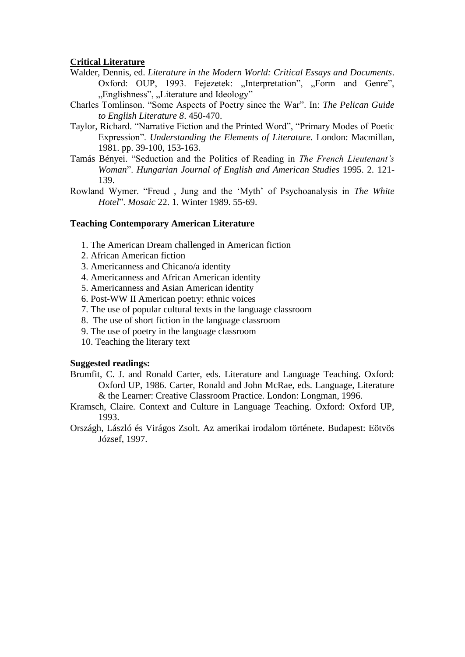#### **Critical Literature**

- Walder, Dennis, ed. *Literature in the Modern World: Critical Essays and Documents*. Oxford: OUP, 1993. Fejezetek: "Interpretation", "Form and Genre", "Englishness", "Literature and Ideology"
- Charles Tomlinson. "Some Aspects of Poetry since the War". In: *The Pelican Guide to English Literature 8*. 450-470.
- Taylor, Richard. "Narrative Fiction and the Printed Word", "Primary Modes of Poetic Expression". *Understanding the Elements of Literature.* London: Macmillan, 1981. pp. 39-100, 153-163.
- Tamás Bényei. "Seduction and the Politics of Reading in *The French Lieutenant's Woman*". *Hungarian Journal of English and American Studies* 1995. 2. 121- 139.
- Rowland Wymer. "Freud , Jung and the 'Myth' of Psychoanalysis in *The White Hotel*". *Mosaic* 22. 1. Winter 1989. 55-69.

#### **Teaching Contemporary American Literature**

- 1. The American Dream challenged in American fiction
- 2. African American fiction
- 3. Americanness and Chicano/a identity
- 4. Americanness and African American identity
- 5. Americanness and Asian American identity
- 6. Post-WW II American poetry: ethnic voices
- 7. The use of popular cultural texts in the language classroom
- 8. The use of short fiction in the language classroom
- 9. The use of poetry in the language classroom
- 10. Teaching the literary text

#### **Suggested readings:**

- Brumfit, C. J. and Ronald Carter, eds. Literature and Language Teaching. Oxford: Oxford UP, 1986. Carter, Ronald and John McRae, eds. Language, Literature & the Learner: Creative Classroom Practice. London: Longman, 1996.
- Kramsch, Claire. Context and Culture in Language Teaching. Oxford: Oxford UP, 1993.
- Országh, László és Virágos Zsolt. Az amerikai irodalom története. Budapest: Eötvös József, 1997.